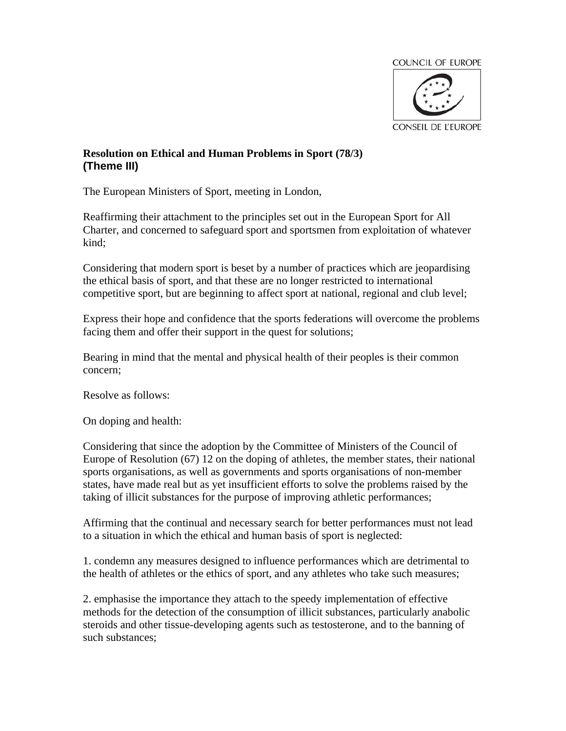

## **Resolution on Ethical and Human Problems in Sport (78/3) (Theme III)**

The European Ministers of Sport, meeting in London,

Reaffirming their attachment to the principles set out in the European Sport for All Charter, and concerned to safeguard sport and sportsmen from exploitation of whatever kind;

Considering that modern sport is beset by a number of practices which are jeopardising the ethical basis of sport, and that these are no longer restricted to international competitive sport, but are beginning to affect sport at national, regional and club level;

Express their hope and confidence that the sports federations will overcome the problems facing them and offer their support in the quest for solutions;

Bearing in mind that the mental and physical health of their peoples is their common concern;

Resolve as follows:

On doping and health:

Considering that since the adoption by the Committee of Ministers of the Council of Europe of Resolution (67) 12 on the doping of athletes, the member states, their national sports organisations, as well as governments and sports organisations of non-member states, have made real but as yet insufficient efforts to solve the problems raised by the taking of illicit substances for the purpose of improving athletic performances;

Affirming that the continual and necessary search for better performances must not lead to a situation in which the ethical and human basis of sport is neglected:

1. condemn any measures designed to influence performances which are detrimental to the health of athletes or the ethics of sport, and any athletes who take such measures;

2. emphasise the importance they attach to the speedy implementation of effective methods for the detection of the consumption of illicit substances, particularly anabolic steroids and other tissue-developing agents such as testosterone, and to the banning of such substances;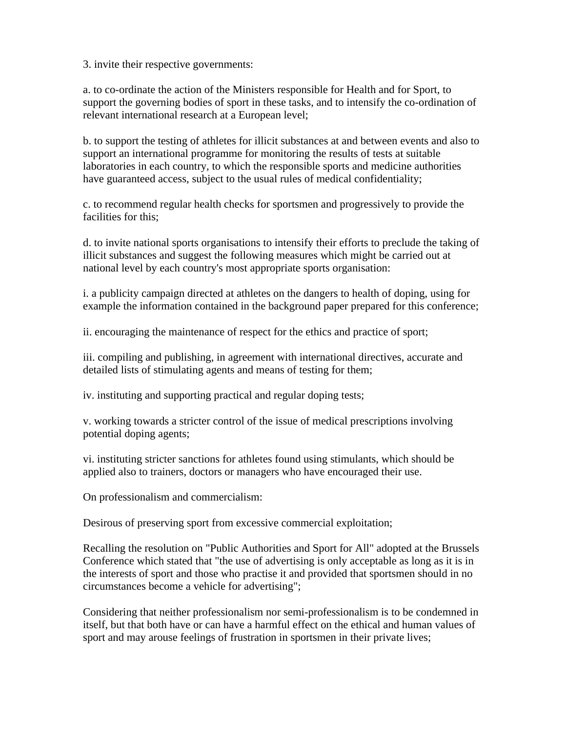3. invite their respective governments:

a. to co-ordinate the action of the Ministers responsible for Health and for Sport, to support the governing bodies of sport in these tasks, and to intensify the co-ordination of relevant international research at a European level;

b. to support the testing of athletes for illicit substances at and between events and also to support an international programme for monitoring the results of tests at suitable laboratories in each country, to which the responsible sports and medicine authorities have guaranteed access, subject to the usual rules of medical confidentiality;

c. to recommend regular health checks for sportsmen and progressively to provide the facilities for this;

d. to invite national sports organisations to intensify their efforts to preclude the taking of illicit substances and suggest the following measures which might be carried out at national level by each country's most appropriate sports organisation:

i. a publicity campaign directed at athletes on the dangers to health of doping, using for example the information contained in the background paper prepared for this conference;

ii. encouraging the maintenance of respect for the ethics and practice of sport;

iii. compiling and publishing, in agreement with international directives, accurate and detailed lists of stimulating agents and means of testing for them;

iv. instituting and supporting practical and regular doping tests;

v. working towards a stricter control of the issue of medical prescriptions involving potential doping agents;

vi. instituting stricter sanctions for athletes found using stimulants, which should be applied also to trainers, doctors or managers who have encouraged their use.

On professionalism and commercialism:

Desirous of preserving sport from excessive commercial exploitation;

Recalling the resolution on "Public Authorities and Sport for All" adopted at the Brussels Conference which stated that "the use of advertising is only acceptable as long as it is in the interests of sport and those who practise it and provided that sportsmen should in no circumstances become a vehicle for advertising";

Considering that neither professionalism nor semi-professionalism is to be condemned in itself, but that both have or can have a harmful effect on the ethical and human values of sport and may arouse feelings of frustration in sportsmen in their private lives;